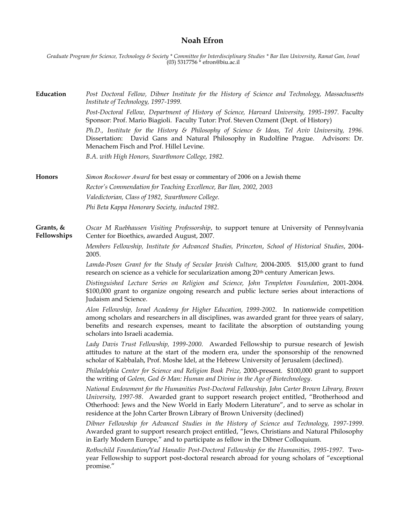## **Noah Efron**

*Graduate Program for Science, Technology & Society \* Committee for Interdisciplinary Studies \* Bar Ilan University, Ramat Gan, Israel* (03) 5317756 \* efron@biu.ac.il

**Education** *Post Doctoral Fellow, Dibner Institute for the History of Science and Technology, Massachusetts Institute of Technology, 1997-1999. Post-Doctoral Fellow, Department of History of Science, Harvard University, 1995-1997*. Faculty Sponsor: Prof. Mario Biagioli. Faculty Tutor: Prof. Steven Ozment (Dept. of History) *Ph.D., Institute for the History & Philosophy of Science & Ideas, Tel Aviv University, 1996.*

Dissertation: David Gans and Natural Philosophy in Rudolfine Prague. Advisors: Dr. Menachem Fisch and Prof. Hillel Levine.

*B.A. with High Honors, Swarthmore College, 1982.*

**Honors** *Simon Rockower Award* **for best essay or commentary of 2006 on a Jewish theme** *Rector's Commendation for Teaching Excellence, Bar Ilan, 2002, 2003 Valedictorian, Class of 1982, Swarthmore College. Phi Beta Kappa Honorary Society, inducted 1982*.

## **Grants, & Fellowships** *Oscar M Ruebhausen Visiting Professorship*, to support tenure at University of Pennsylvania Center for Bioethics, awarded August, 2007.

*Members Fellowship, Institute for Advanced Studies, Princeton*, *School of Historical Studies*, 2004- 2005.

*Lamda-Posen Grant for the Study of Secular Jewish Culture,* 2004-2005*.* \$15,000 grant to fund research on science as a vehicle for secularization among 20th century American Jews.

*Distinguished Lecture Series on Religion and Science, John Templeton Foundation*, 2001-2004. \$100,000 grant to organize ongoing research and public lecture series about interactions of Judaism and Science.

*Alon Fellowship, Israel Academy for Higher Education, 1999-2002*. In nationwide competition among scholars and researchers in all disciplines, was awarded grant for three years of salary, benefits and research expenses, meant to facilitate the absorption of outstanding young scholars into Israeli academia.

*Lady Davis Trust Fellowship, 1999-2000*. Awarded Fellowship to pursue research of Jewish attitudes to nature at the start of the modern era, under the sponsorship of the renowned scholar of Kabbalah, Prof. Moshe Idel, at the Hebrew University of Jerusalem (declined).

*Philadelphia Center for Science and Religion Book Prize,* 2000-present. \$100,000 grant to support the writing of *Golem, God & Man: Human and Divine in the Age of Biotechnology*.

*National Endowment for the Humanities Post-Doctoral Fellowship, John Carter Brown Library, Brown University, 1997-98*. Awarded grant to support research project entitled, "Brotherhood and Otherhood: Jews and the New World in Early Modern Literature", and to serve as scholar in residence at the John Carter Brown Library of Brown University (declined)

*Dibner Fellowship for Advanced Studies in the History of Science and Technology, 1997-1999*. Awarded grant to support research project entitled, "Jews, Christians and Natural Philosophy in Early Modern Europe," and to participate as fellow in the Dibner Colloquium.

*Rothschild Foundation/Yad Hanadiv Post-Doctoral Fellowship for the Humanities, 1995-1997*. Twoyear Fellowship to support post-doctoral research abroad for young scholars of "exceptional promise."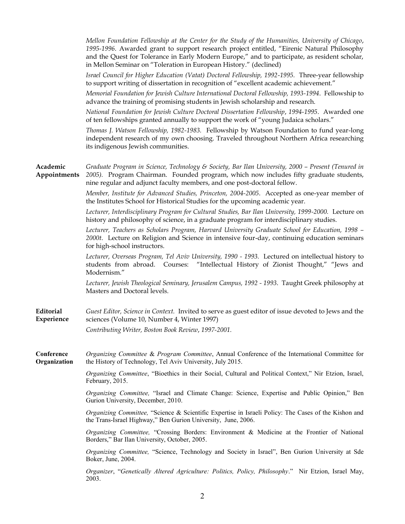*Mellon Foundation Fellowship at the Center for the Study of the Humanities, University of Chicago*, *1995-1996*. Awarded grant to support research project entitled, "Eirenic Natural Philosophy and the Quest for Tolerance in Early Modern Europe," and to participate, as resident scholar, in Mellon Seminar on "Toleration in European History." (declined)

*Israel Council for Higher Education (Vatat) Doctoral Fellowship, 1992-1995.* Three-year fellowship to support writing of dissertation in recognition of "excellent academic achievement."

*Memorial Foundation for Jewish Culture International Doctoral Fellowship, 1993-1994*. Fellowship to advance the training of promising students in Jewish scholarship and research.

*National Foundation for Jewish Culture Doctoral Dissertation Fellowship*, *1994-1995*. Awarded one of ten fellowships granted annually to support the work of "young Judaica scholars."

*Thomas J. Watson Fellowship, 1982-1983.* Fellowship by Watson Foundation to fund year-long independent research of my own choosing. Traveled throughout Northern Africa researching its indigenous Jewish communities.

| Academic<br>Appointments   | Graduate Program in Science, Technology & Society, Bar Ilan University, 2000 - Present (Tenured in<br>2005). Program Chairman. Founded program, which now includes fifty graduate students,<br>nine regular and adjunct faculty members, and one post-doctoral fellow. |
|----------------------------|------------------------------------------------------------------------------------------------------------------------------------------------------------------------------------------------------------------------------------------------------------------------|
|                            | Member, Institute for Advanced Studies, Princeton, 2004-2005. Accepted as one-year member of<br>the Institutes School for Historical Studies for the upcoming academic year.                                                                                           |
|                            | Lecturer, Interdisciplinary Program for Cultural Studies, Bar Ilan University, 1999-2000. Lecture on<br>history and philosophy of science, in a graduate program for interdisciplinary studies.                                                                        |
|                            | Lecturer, Teachers as Scholars Program, Harvard University Graduate School for Education, 1998 -<br>2000t. Lecture on Religion and Science in intensive four-day, continuing education seminars<br>for high-school instructors.                                        |
|                            | Lecturer, Overseas Program, Tel Aviv University, 1990 - 1993. Lectured on intellectual history to<br>students from abroad. Courses: "Intellectual History of Zionist Thought," "Jews and<br>Modernism."                                                                |
|                            | Lecturer, Jewish Theological Seminary, Jerusalem Campus, 1992 - 1993. Taught Greek philosophy at<br>Masters and Doctoral levels.                                                                                                                                       |
| Editorial<br>Experience    | Guest Editor, Science in Context. Invited to serve as guest editor of issue devoted to Jews and the<br>sciences (Volume 10, Number 4, Winter 1997)                                                                                                                     |
|                            | Contributing Writer, Boston Book Review, 1997-2001.                                                                                                                                                                                                                    |
| Conference<br>Organization | Organizing Committee & Program Committee, Annual Conference of the International Committee for<br>the History of Technology, Tel Aviv University, July 2015.                                                                                                           |
|                            | Organizing Committee, "Bioethics in their Social, Cultural and Political Context," Nir Etzion, Israel,<br>February, 2015.                                                                                                                                              |
|                            | Organizing Committee, "Israel and Climate Change: Science, Expertise and Public Opinion," Ben<br>Gurion University, December, 2010.                                                                                                                                    |
|                            | Organizing Committee, "Science & Scientific Expertise in Israeli Policy: The Cases of the Kishon and<br>the Trans-Israel Highway," Ben Gurion University, June, 2006.                                                                                                  |
|                            | Organizing Committee, "Crossing Borders: Environment & Medicine at the Frontier of National<br>Borders," Bar Ilan University, October, 2005.                                                                                                                           |
|                            | Organizing Committee, "Science, Technology and Society in Israel", Ben Gurion University at Sde<br>Boker, June, 2004.                                                                                                                                                  |
|                            | Organizer, "Genetically Altered Agriculture: Politics, Policy, Philosophy." Nir Etzion, Israel May,<br>2003.                                                                                                                                                           |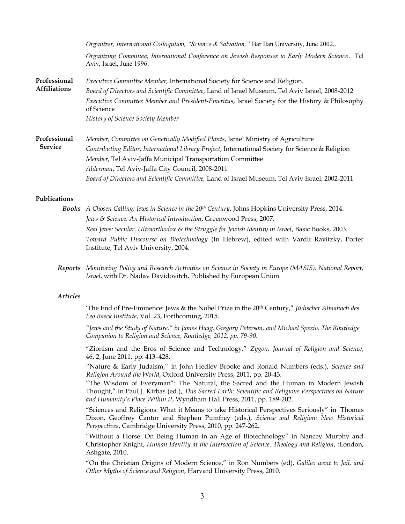|                                     | <i>Organizer, International Colloquium, "Science &amp; Salvation,"</i> Bar Ilan University, June 2002,.                     |
|-------------------------------------|-----------------------------------------------------------------------------------------------------------------------------|
|                                     | Organizing Committee, International Conference on Jewish Responses to Early Modern Science. Tel<br>Aviv, Israel, June 1996. |
| Professional<br><b>Affiliations</b> | Executive Committee Member, International Society for Science and Religion.                                                 |
|                                     | Board of Directors and Scientific Committee, Land of Israel Museum, Tel Aviv Israel, 2008-2012                              |
|                                     | Executive Committee Member and President-Emeritus, Israel Society for the History & Philosophy<br>of Science                |
|                                     | History of Science Society Member                                                                                           |
| Professional<br><b>Service</b>      | Member, Committee on Genetically Modified Plants, Israel Ministry of Agriculture                                            |
|                                     | Contributing Editor, International Library Project, International Society for Science & Religion                            |
|                                     | Member, Tel Aviv-Jaffa Municipal Transportation Committee                                                                   |
|                                     | Alderman, Tel Aviv-Jaffa City Council, 2008-2011                                                                            |
|                                     | Board of Directors and Scientific Committee, Land of Israel Museum, Tel Aviv Israel, 2002-2011                              |

## **Publications**

- *Books A Chosen Calling: Jews in Science in the 20th Century*, Johns Hopkins University Press, 2014. *Jews & Science: An Historical Introduction*, Greenwood Press, 2007. *Real Jews: Secular, Ultraorthodox & the Struggle for Jewish Identity in Israel*, Basic Books, 2003. *Toward Public Discourse on Biotechnology* (In Hebrew), edited with Vardit Ravitzky, Porter Institute, Tel Aviv University, 2004.
- *Reports Monitoring Policy and Research Activities on Science in Society in Europe (MASIS): National Report, Israel*, with Dr. Nadav Davidovitch, Published by European Union

## *Articles*

'The End of Pre-Eminence: Jews & the Nobel Prize in the 20th Century," *Jüdischer Almanach des Leo Baeck Institute*, Vol. 23, Forthcoming, 2015.

*"Jews and the Study of Nature," in James Haag, Gregory Peterson, and Michael Spezio, The Routledge Companion to Religion and Science, Routledge, 2012, pp. 79-90.*

"Zionism and the Eros of Science and Technology," *Zygon: Journal of Religion and Science*, 46, 2, June 2011, pp. 413–428.

"Nature & Early Judaism," in John Hedley Brooke and Ronald Numbers (eds.), *Science and Religion Around the World*, Oxford University Press, 2011, pp. 20-43.

"The Wisdom of Everyman": The Natural, the Sacred and the Human in Modern Jewish Thought," in Paul J. Kirbas (ed.), *This Sacred Earth: Scientific and Religious Perspectives on Nature and Humanity's Place Within It*, Wyndham Hall Press, 2011, pp. 189-202.

"Sciences and Religions: What it Means to take Historical Perspectives Seriously" in Thomas Dixon, Geoffrey Cantor and Stephen Pumfrey (eds.), *Science and Religion: New Historical Perspectives*, Cambridge University Press, 2010, pp. 247-262.

"Without a Horse: On Being Human in an Age of Biotechnology" in Nancey Murphy and Christopher Knight, *Human Identity at the Intersection of Science, Theology and Religion*, *:*London, Ashgate, 2010.

"On the Christian Origins of Modern Science," in Ron Numbers (ed), *Galileo went to Jail, and Other Myths of Science and Religion*, Harvard University Press, 2010.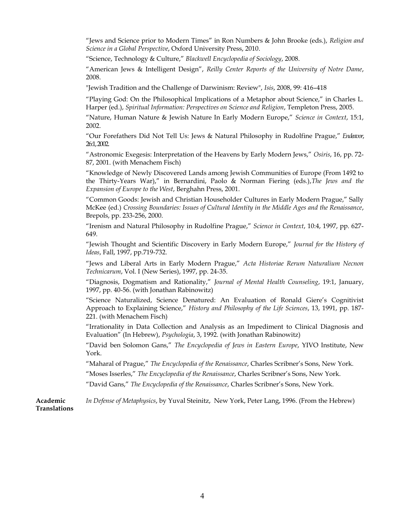"Jews and Science prior to Modern Times" in Ron Numbers & John Brooke (eds.), *Religion and Science in a Global Perspective*, Oxford University Press, 2010.

"Science, Technology & Culture," *Blackwell Encyclopedia of Sociology*, 2008.

"American Jews & Intelligent Design", *Reilly Center Reports of the University of Notre Dame*, 2008.

"Jewish Tradition and the Challenge of Darwinism: Review", *Isis*, 2008, 99: 416–418

"Playing God: On the Philosophical Implications of a Metaphor about Science," in Charles L. Harper (ed.), *Spiritual Information: Perspectives on Science and Religion*, Templeton Press, 2005.

"Nature, Human Nature & Jewish Nature In Early Modern Europe," *Science in Context*, 15:1, 2002.

"Our Forefathers Did Not Tell Us: Jews & Natural Philosophy in Rudolfine Prague," *Endeavor*, 26:1, 2002.

"Astronomic Exegesis: Interpretation of the Heavens by Early Modern Jews," *Osiris*, 16, pp. 72- 87, 2001. (with Menachem Fisch)

"Knowledge of Newly Discovered Lands among Jewish Communities of Europe (From 1492 to the Thirty-Years War)," in Bernardini, Paolo & Norman Fiering (eds.),*The Jews and the Expansion of Europe to the West*, Berghahn Press, 2001.

"Common Goods: Jewish and Christian Householder Cultures in Early Modern Prague," Sally McKee (ed.) *Crossing Boundaries: Issues of Cultural Identity in the Middle Ages and the Renaissance*, Brepols, pp. 233-256, 2000.

"Irenism and Natural Philosophy in Rudolfine Prague," *Science in Context*, 10:4, 1997, pp. 627- 649.

"Jewish Thought and Scientific Discovery in Early Modern Europe," *Journal for the History of Ideas*, Fall, 1997, pp.719-732.

"Jews and Liberal Arts in Early Modern Prague," *Acta Historiae Rerum Naturalium Necnon Technicarum*, Vol. I (New Series), 1997, pp. 24-35.

"Diagnosis, Dogmatism and Rationality," *Journal of Mental Health Counseling*, 19:1, January, 1997, pp. 40-56. (with Jonathan Rabinowitz)

"Science Naturalized, Science Denatured: An Evaluation of Ronald Giere's Cognitivist Approach to Explaining Science," *History and Philosophy of the Life Sciences*, 13, 1991, pp. 187- 221. (with Menachem Fisch)

"Irrationality in Data Collection and Analysis as an Impediment to Clinical Diagnosis and Evaluation" (In Hebrew), *Psychologia*, 3, 1992. (with Jonathan Rabinowitz)

"David ben Solomon Gans," *The Encyclopedia of Jews in Eastern Europe*, YIVO Institute, New York.

"Maharal of Prague," *The Encyclopedia of the Renaissance*, Charles Scribner's Sons, New York.

"Moses Isserles," *The Encyclopedia of the Renaissance*, Charles Scribner's Sons, New York.

"David Gans," *The Encyclopedia of the Renaissance*, Charles Scribner's Sons, New York.

**Academic Translations** *In Defense of Metaphysics*, by Yuval Steinitz, New York, Peter Lang, 1996. (From the Hebrew)